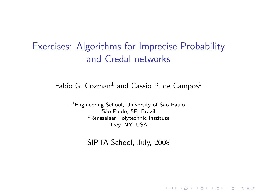## Exercises: Algorithms for Imprecise Probability and Credal networks

## Fabio G. Cozman $^1$  and Cassio P. de Campos $^2$

<sup>1</sup>Engineering School, University of São Paulo São Paulo, SP, Brazil <sup>2</sup>Rensselaer Polytechnic Institute Troy, NY, USA

SIPTA School, July, 2008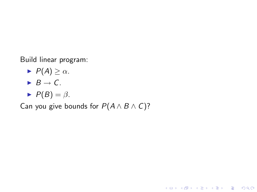Build linear program:

- $\blacktriangleright$   $P(A) \geq \alpha$ .
- $\blacktriangleright$  B  $\rightarrow$  C.
- $\blacktriangleright$   $P(B) = \beta$ .

Can you give bounds for  $P(A \wedge B \wedge C)$ ?

K ロ ▶ K @ ▶ K 할 > K 할 > 1 할 > 1 이익어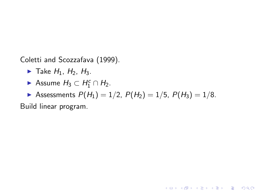Coletti and Scozzafava (1999).

- $\blacktriangleright$  Take  $H_1$ ,  $H_2$ ,  $H_3$ .
- Assume  $H_3 \subset H_1^c \cap H_2$ .
- Assessments  $P(H_1) = 1/2$ ,  $P(H_2) = 1/5$ ,  $P(H_3) = 1/8$ .

**KOD KARD KED KED E VOOR** 

Build linear program.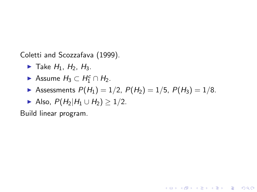Coletti and Scozzafava (1999).

- $\blacktriangleright$  Take  $H_1$ ,  $H_2$ ,  $H_3$ .
- Assume  $H_3 \subset H_1^c \cap H_2$ .
- Assessments  $P(H_1) = 1/2$ ,  $P(H_2) = 1/5$ ,  $P(H_3) = 1/8$ .

**KOD KARD KED KED E VOOR** 

$$
\blacktriangleright \text{ Also, } P(H_2|H_1 \cup H_2) \geq 1/2.
$$

Build linear program.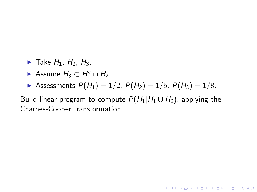- $\blacktriangleright$  Take  $H_1$ ,  $H_2$ ,  $H_3$ ,
- Assume  $H_3 \subset H_1^c \cap H_2$ .
- Assessments  $P(H_1) = 1/2$ ,  $P(H_2) = 1/5$ ,  $P(H_3) = 1/8$ .

Build linear program to compute  $P(H_1|H_1 \cup H_2)$ , applying the Charnes-Cooper transformation.

**KOD KARD KED KED E VOOR**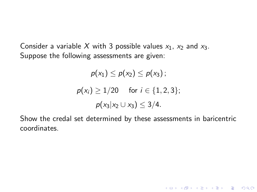Consider a variable X with 3 possible values  $x_1$ ,  $x_2$  and  $x_3$ . Suppose the following assessments are given:

$$
\rho(x_1) \le \rho(x_2) \le \rho(x_3) ;
$$
  
\n
$$
\rho(x_i) \ge 1/20 \quad \text{for } i \in \{1, 2, 3\} ;
$$
  
\n
$$
\rho(x_3|x_2 \cup x_3) \le 3/4.
$$

Show the credal set determined by these assessments in baricentric coordinates.

K ロ ▶ K @ ▶ K 할 > K 할 > 1 할 > 1 이익어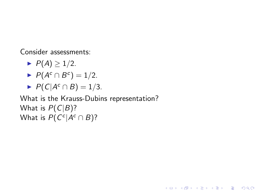Consider assessments:

- $\blacktriangleright$   $P(A) \geq 1/2$ .
- $\blacktriangleright$   $P(A^c \cap B^c) = 1/2$ .
- $\blacktriangleright$  P(C|A<sup>c</sup>  $\cap$  B) = 1/3.

What is the Krauss-Dubins representation? What is  $P(C|B)$ ? What is  $P(C^c|A^c \cap B)$ ?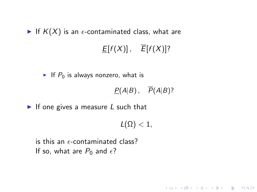If  $K(X)$  is an  $\epsilon$ -contaminated class, what are

## $E[f(X)], \quad \overline{E}[f(X)]$ ?

If  $P_0$  is always nonzero, what is

 $P(A|B)$ ,  $\overline{P}(A|B)$ ?

**KORK ERKER ADAM ADA** 

If one gives a measure  $L$  such that

 $L(\Omega) < 1$ ,

is this an  $\epsilon$ -contaminated class? If so, what are  $P_0$  and  $\epsilon$ ?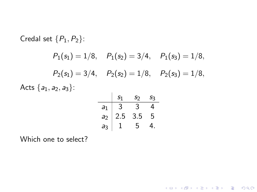Credal set 
$$
\{P_1, P_2\}
$$
:  
\n $P_1(s_1) = 1/8$ ,  $P_1(s_2) = 3/4$ ,  $P_1(s_3) = 1/8$ ,  
\n $P_2(s_1) = 3/4$ ,  $P_2(s_2) = 1/8$ ,  $P_2(s_3) = 1/8$ ,  
\nActs  $\{a_1, a_2, a_3\}$ :  
\n
$$
\frac{s_1}{a_1} \frac{s_2}{3} \frac{s_3}{4}
$$

 $a_1$  3 3 4  $a_2$  2.5 3.5 5  $a_3$  1 5 4.

K ロ ▶ K @ ▶ K 할 ▶ K 할 ▶ | 할 | ⊙Q @

Which one to select?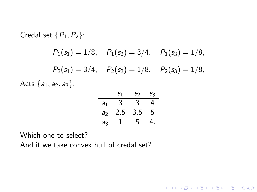Credal set 
$$
\{P_1, P_2\}
$$
:  
\n $P_1(s_1) = 1/8$ ,  $P_1(s_2) = 3/4$ ,  $P_1(s_3) = 1/8$ ,  
\n $P_2(s_1) = 3/4$ ,  $P_2(s_2) = 1/8$ ,  $P_2(s_3) = 1/8$ ,  
\nActs  $\{a_1, a_2, a_3\}$ :  
\n $\begin{array}{c|cc}\n & s_1 & s_2 & s_3 \\
\hline\na_1 & 3 & 3 & 4 \\
a_2 & 2.5 & 3.5 & 5 \\
a_3 & 1 & 5 & 4\n\end{array}$ 

K ロ ▶ K @ ▶ K 할 ▶ K 할 ▶ | 할 | © 9 Q @

Which one to select? And if we take convex hull of credal set?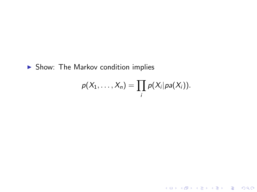$\blacktriangleright$  Show: The Markov condition implies

$$
p(X_1,\ldots,X_n)=\prod_i p(X_i|pa(X_i)).
$$

K ロ ▶ K @ ▶ K 할 ▶ K 할 ▶ ... 할 ... 9 Q Q ·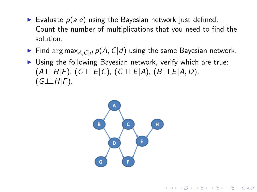- $\triangleright$  Evaluate  $p(a|e)$  using the Bayesian network just defined. Count the number of multiplications that you need to find the solution.
- Find arg max<sub>A,C|d</sub>  $p(A, C|d)$  using the same Bayesian network.
- $\triangleright$  Using the following Bayesian network, verify which are true:  $(A \perp \perp H|F)$ ,  $(G \perp \perp F|C)$ ,  $(G \perp \perp F|A)$ ,  $(B \perp \perp F|A, D)$ ,  $(G \perp \perp H|F)$ .

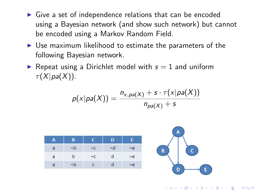- $\triangleright$  Give a set of independence relations that can be encoded using a Bayesian network (and show such network) but cannot be encoded using a Markov Random Field.
- $\triangleright$  Use maximum likelihood to estimate the parameters of the following Bayesian network.
- Repeat using a Dirichlet model with  $s = 1$  and uniform  $\tau(X|pa(X)).$

$$
p(x|pa(X)) = \frac{n_{x,pa(X)} + s \cdot \tau(x|pa(X))}{n_{pa(X)} + s}
$$



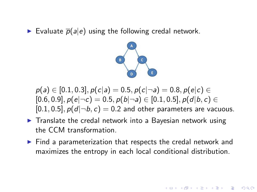Evaluate  $\bar{p}(a|e)$  using the following credal network.



$$
p(a) \in [0.1, 0.3], p(c|a) = 0.5, p(c|\neg a) = 0.8, p(e|c) \in [0.6, 0.9], p(e|\neg c) = 0.5, p(b|\neg a) \in [0.1, 0.5], p(d|b, c) \in [0.1, 0.5], p(d|\neg b, c) = 0.2
$$
 and other parameters are vacuous.

- $\blacktriangleright$  Translate the credal network into a Bayesian network using the CCM transformation.
- $\triangleright$  Find a parameterization that respects the credal network and maximizes the entropy in each local conditional distribution.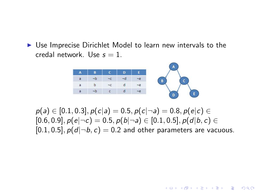$\triangleright$  Use Imprecise Dirichlet Model to learn new intervals to the credal network. Use  $s = 1$ .



 $p(a) \in [0.1, 0.3], p(c|a) = 0.5, p(c|\neg a) = 0.8, p(e|c) \in$  $[0.6, 0.9], p(e|\neg c) = 0.5, p(b|\neg a) \in [0.1, 0.5], p(d|b, c) \in$  $[0.1, 0.5]$ ,  $p(d|\neg b, c) = 0.2$  and other parameters are vacuous.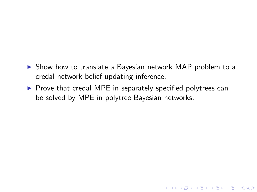- $\triangleright$  Show how to translate a Bayesian network MAP problem to a credal network belief updating inference.
- $\triangleright$  Prove that credal MPE in separately specified polytrees can be solved by MPE in polytree Bayesian networks.

K ロ ▶ K @ ▶ K 할 > K 할 > 1 할 > 1 이익어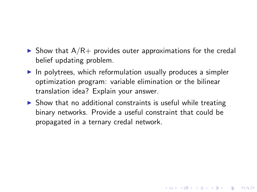- $\triangleright$  Show that A/R+ provides outer approximations for the credal belief updating problem.
- $\blacktriangleright$  In polytrees, which reformulation usually produces a simpler optimization program: variable elimination or the bilinear translation idea? Explain your answer.
- $\triangleright$  Show that no additional constraints is useful while treating binary networks. Provide a useful constraint that could be propagated in a ternary credal network.

**K ロ ▶ K @ ▶ K 할 X X 할 X 및 할 X X Q Q O**